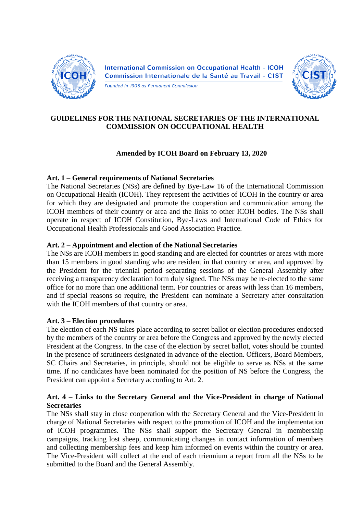

**International Commission on Occupational Health - ICOH** Commission Internationale de la Santé au Travail - CIST

Founded in 1906 as Permanent Commission



# **GUIDELINES FOR THE NATIONAL SECRETARIES OF THE INTERNATIONAL COMMISSION ON OCCUPATIONAL HEALTH**

# **Amended by ICOH Board on February 13, 2020**

# **Art. 1 – General requirements of National Secretaries**

The National Secretaries (NSs) are defined by Bye-Law 16 of the International Commission on Occupational Health (ICOH). They represent the activities of ICOH in the country or area for which they are designated and promote the cooperation and communication among the ICOH members of their country or area and the links to other ICOH bodies. The NSs shall operate in respect of ICOH Constitution, Bye-Laws and International Code of Ethics for Occupational Health Professionals and Good Association Practice.

# **Art. 2 – Appointment and election of the National Secretaries**

The NSs are ICOH members in good standing and are elected for countries or areas with more than 15 members in good standing who are resident in that country or area, and approved by the President for the triennial period separating sessions of the General Assembly after receiving a transparency declaration form duly signed. The NSs may be re-elected to the same office for no more than one additional term. For countries or areas with less than 16 members, and if special reasons so require, the President can nominate a Secretary after consultation with the ICOH members of that country or area.

# **Art. 3 – Election procedures**

The election of each NS takes place according to secret ballot or election procedures endorsed by the members of the country or area before the Congress and approved by the newly elected President at the Congress. In the case of the election by secret ballot, votes should be counted in the presence of scrutineers designated in advance of the election. Officers, Board Members, SC Chairs and Secretaries, in principle, should not be eligible to serve as NSs at the same time. If no candidates have been nominated for the position of NS before the Congress, the President can appoint a Secretary according to Art. 2.

#### **Art. 4 – Links to the Secretary General and the Vice-President in charge of National Secretaries**

The NSs shall stay in close cooperation with the Secretary General and the Vice-President in charge of National Secretaries with respect to the promotion of ICOH and the implementation of ICOH programmes. The NSs shall support the Secretary General in membership campaigns, tracking lost sheep, communicating changes in contact information of members and collecting membership fees and keep him informed on events within the country or area. The Vice-President will collect at the end of each triennium a report from all the NSs to be submitted to the Board and the General Assembly.